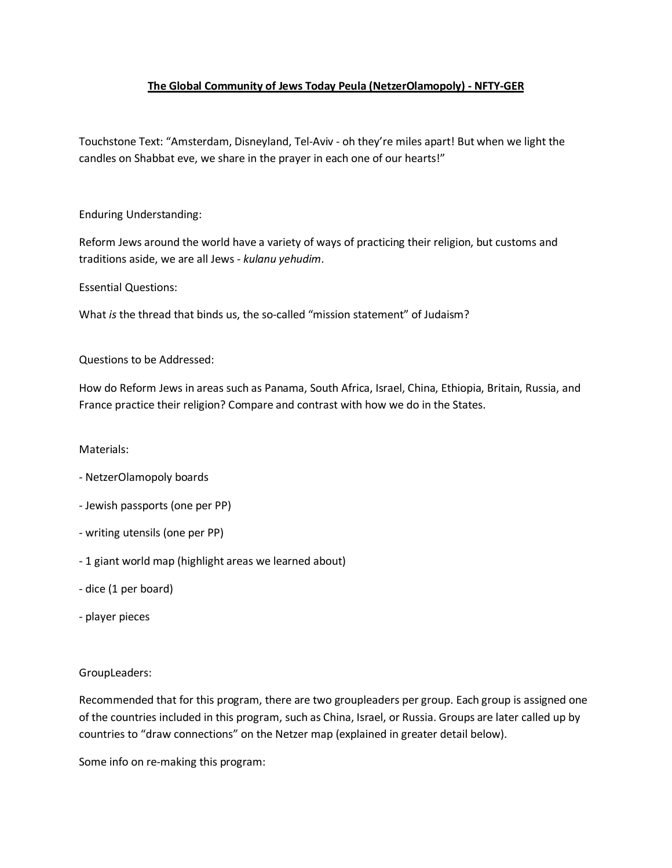## **The Global Community of Jews Today Peula (NetzerOlamopoly) - NFTY-GER**

Touchstone Text: "Amsterdam, Disneyland, Tel-Aviv - oh they're miles apart! But when we light the candles on Shabbat eve, we share in the prayer in each one of our hearts!"

Enduring Understanding:

Reform Jews around the world have a variety of ways of practicing their religion, but customs and traditions aside, we are all Jews - *kulanu yehudim*.

Essential Questions:

What *is* the thread that binds us, the so-called "mission statement" of Judaism?

Questions to be Addressed:

How do Reform Jews in areas such as Panama, South Africa, Israel, China, Ethiopia, Britain, Russia, and France practice their religion? Compare and contrast with how we do in the States.

## Materials:

- NetzerOlamopoly boards
- Jewish passports (one per PP)
- writing utensils (one per PP)
- 1 giant world map (highlight areas we learned about)
- dice (1 per board)
- player pieces

## GroupLeaders:

Recommended that for this program, there are two groupleaders per group. Each group is assigned one of the countries included in this program, such as China, Israel, or Russia. Groups are later called up by countries to "draw connections" on the Netzer map (explained in greater detail below).

Some info on re-making this program: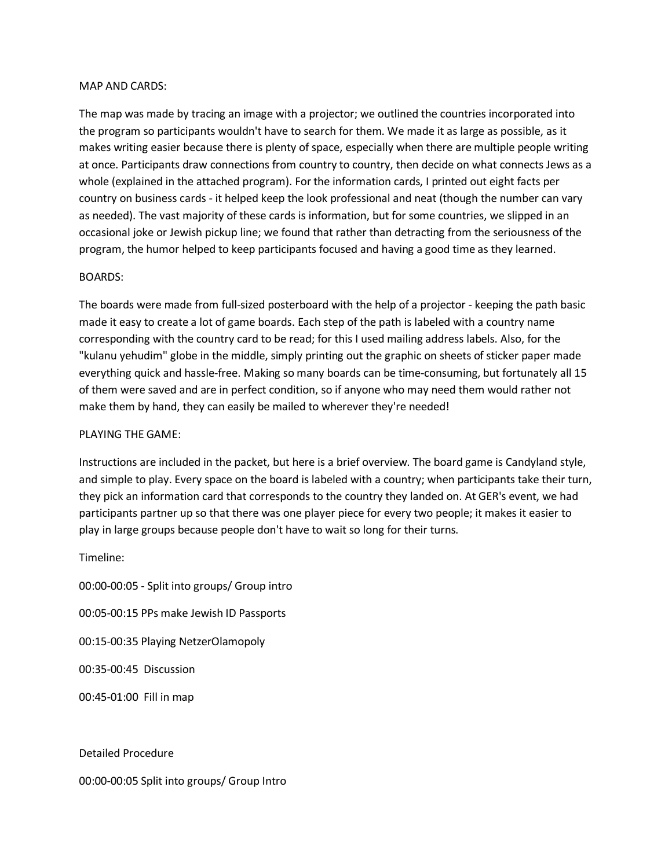#### MAP AND CARDS:

The map was made by tracing an image with a projector; we outlined the countries incorporated into the program so participants wouldn't have to search for them. We made it as large as possible, as it makes writing easier because there is plenty of space, especially when there are multiple people writing at once. Participants draw connections from country to country, then decide on what connects Jews as a whole (explained in the attached program). For the information cards, I printed out eight facts per country on business cards - it helped keep the look professional and neat (though the number can vary as needed). The vast majority of these cards is information, but for some countries, we slipped in an occasional joke or Jewish pickup line; we found that rather than detracting from the seriousness of the program, the humor helped to keep participants focused and having a good time as they learned.

### BOARDS:

The boards were made from full-sized posterboard with the help of a projector - keeping the path basic made it easy to create a lot of game boards. Each step of the path is labeled with a country name corresponding with the country card to be read; for this I used mailing address labels. Also, for the "kulanu yehudim" globe in the middle, simply printing out the graphic on sheets of sticker paper made everything quick and hassle-free. Making so many boards can be time-consuming, but fortunately all 15 of them were saved and are in perfect condition, so if anyone who may need them would rather not make them by hand, they can easily be mailed to wherever they're needed!

### PLAYING THE GAME:

Instructions are included in the packet, but here is a brief overview. The board game is Candyland style, and simple to play. Every space on the board is labeled with a country; when participants take their turn, they pick an information card that corresponds to the country they landed on. At GER's event, we had participants partner up so that there was one player piece for every two people; it makes it easier to play in large groups because people don't have to wait so long for their turns.

Timeline:

00:00-00:05 - Split into groups/ Group intro 00:05-00:15 PPs make Jewish ID Passports 00:15-00:35 Playing NetzerOlamopoly 00:35-00:45 Discussion 00:45-01:00 Fill in map

Detailed Procedure

00:00-00:05 Split into groups/ Group Intro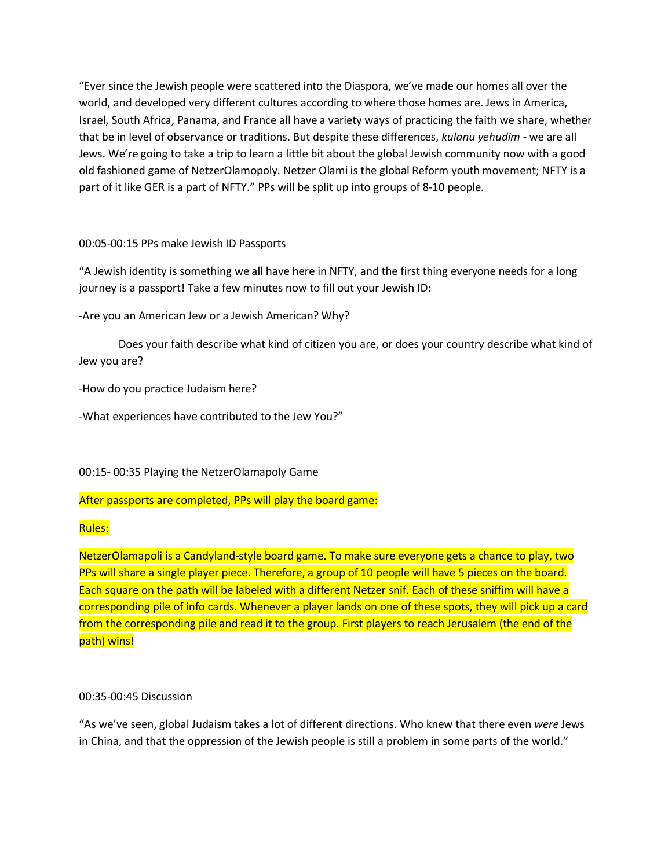"Ever since the Jewish people were scattered into the Diaspora, we've made our homes all over the world, and developed very different cultures according to where those homes are. Jews in America, Israel, South Africa, Panama, and France all have a variety ways of practicing the faith we share, whether that be in level of observance or traditions. But despite these differences, *kulanu yehudim* - we are all Jews. We're going to take a trip to learn a little bit about the global Jewish community now with a good old fashioned game of NetzerOlamopoly. Netzer Olami is the global Reform youth movement; NFTY is a part of it like GER is a part of NFTY." PPs will be split up into groups of 8-10 people.

## 00:05-00:15 PPs make Jewish ID Passports

"A Jewish identity is something we all have here in NFTY, and the first thing everyone needs for a long journey is a passport! Take a few minutes now to fill out your Jewish ID:

-Are you an American Jew or a Jewish American? Why?

Does your faith describe what kind of citizen you are, or does your country describe what kind of Jew you are?

-How do you practice Judaism here?

-What experiences have contributed to the Jew You?"

00:15- 00:35 Playing the NetzerOlamapoly Game

# After passports are completed, PPs will play the board game:

## Rules:

NetzerOlamapoli is a Candyland-style board game. To make sure everyone gets a chance to play, two PPs will share a single player piece. Therefore, a group of 10 people will have 5 pieces on the board. Each square on the path will be labeled with a different Netzer snif. Each of these sniffim will have a corresponding pile of info cards. Whenever a player lands on one of these spots, they will pick up a card from the corresponding pile and read it to the group. First players to reach Jerusalem (the end of the path) wins!

## 00:35-00:45 Discussion

"As we've seen, global Judaism takes a lot of different directions. Who knew that there even *were* Jews in China, and that the oppression of the Jewish people is still a problem in some parts of the world."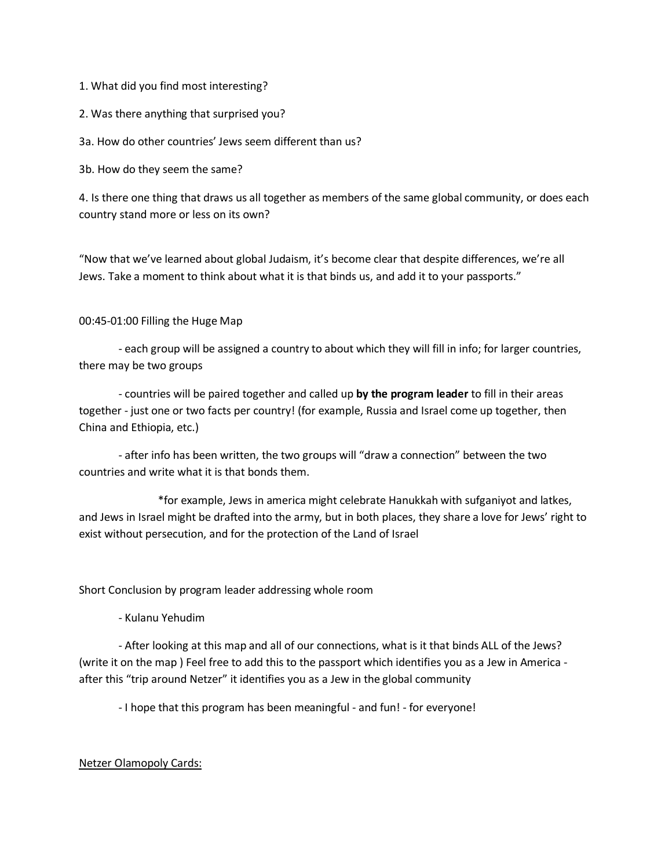1. What did you find most interesting?

2. Was there anything that surprised you?

3a. How do other countries' Jews seem different than us?

3b. How do they seem the same?

4. Is there one thing that draws us all together as members of the same global community, or does each country stand more or less on its own?

"Now that we've learned about global Judaism, it's become clear that despite differences, we're all Jews. Take a moment to think about what it is that binds us, and add it to your passports."

### 00:45-01:00 Filling the Huge Map

- each group will be assigned a country to about which they will fill in info; for larger countries, there may be two groups

- countries will be paired together and called up **by the program leader** to fill in their areas together - just one or two facts per country! (for example, Russia and Israel come up together, then China and Ethiopia, etc.)

- after info has been written, the two groups will "draw a connection" between the two countries and write what it is that bonds them.

\*for example, Jews in america might celebrate Hanukkah with sufganiyot and latkes, and Jews in Israel might be drafted into the army, but in both places, they share a love for Jews' right to exist without persecution, and for the protection of the Land of Israel

Short Conclusion by program leader addressing whole room

- Kulanu Yehudim

- After looking at this map and all of our connections, what is it that binds ALL of the Jews? (write it on the map ) Feel free to add this to the passport which identifies you as a Jew in America after this "trip around Netzer" it identifies you as a Jew in the global community

- I hope that this program has been meaningful - and fun! - for everyone!

## Netzer Olamopoly Cards: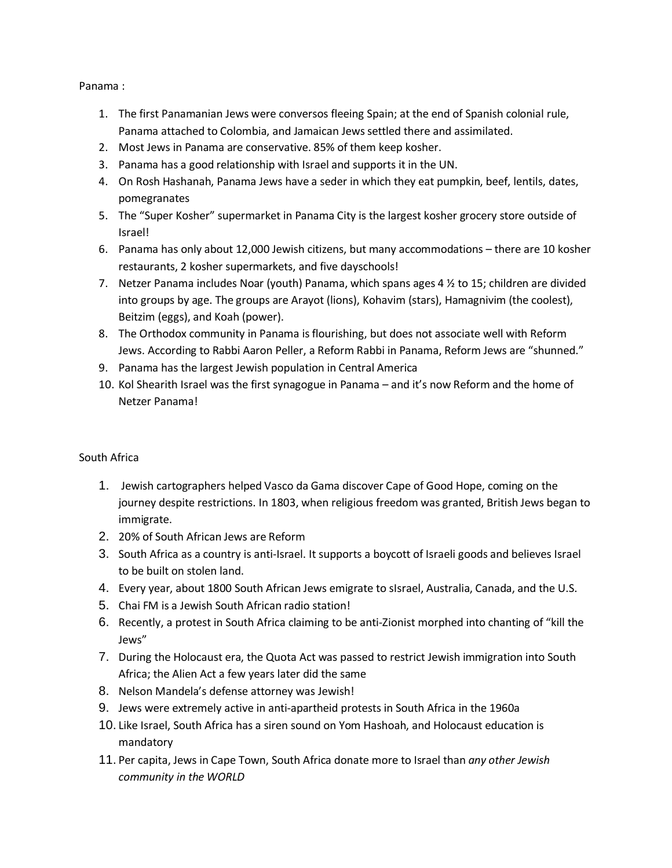Panama :

- 1. The first Panamanian Jews were conversos fleeing Spain; at the end of Spanish colonial rule, Panama attached to Colombia, and Jamaican Jews settled there and assimilated.
- 2. Most Jews in Panama are conservative. 85% of them keep kosher.
- 3. Panama has a good relationship with Israel and supports it in the UN.
- 4. On Rosh Hashanah, Panama Jews have a seder in which they eat pumpkin, beef, lentils, dates, pomegranates
- 5. The "Super Kosher" supermarket in Panama City is the largest kosher grocery store outside of Israel!
- 6. Panama has only about 12,000 Jewish citizens, but many accommodations there are 10 kosher restaurants, 2 kosher supermarkets, and five dayschools!
- 7. Netzer Panama includes Noar (youth) Panama, which spans ages 4  $\frac{1}{2}$  to 15; children are divided into groups by age. The groups are Arayot (lions), Kohavim (stars), Hamagnivim (the coolest), Beitzim (eggs), and Koah (power).
- 8. The Orthodox community in Panama is flourishing, but does not associate well with Reform Jews. According to Rabbi Aaron Peller, a Reform Rabbi in Panama, Reform Jews are "shunned."
- 9. Panama has the largest Jewish population in Central America
- 10. Kol Shearith Israel was the first synagogue in Panama and it's now Reform and the home of Netzer Panama!

# South Africa

- 1. Jewish cartographers helped Vasco da Gama discover Cape of Good Hope, coming on the journey despite restrictions. In 1803, when religious freedom was granted, British Jews began to immigrate.
- 2. 20% of South African Jews are Reform
- 3. South Africa as a country is anti-Israel. It supports a boycott of Israeli goods and believes Israel to be built on stolen land.
- 4. Every year, about 1800 South African Jews emigrate to sIsrael, Australia, Canada, and the U.S.
- 5. Chai FM is a Jewish South African radio station!
- 6. Recently, a protest in South Africa claiming to be anti-Zionist morphed into chanting of "kill the Jews"
- 7. During the Holocaust era, the Quota Act was passed to restrict Jewish immigration into South Africa; the Alien Act a few years later did the same
- 8. Nelson Mandela's defense attorney was Jewish!
- 9. Jews were extremely active in anti-apartheid protests in South Africa in the 1960a
- 10. Like Israel, South Africa has a siren sound on Yom Hashoah, and Holocaust education is mandatory
- 11. Per capita, Jews in Cape Town, South Africa donate more to Israel than *any other Jewish community in the WORLD*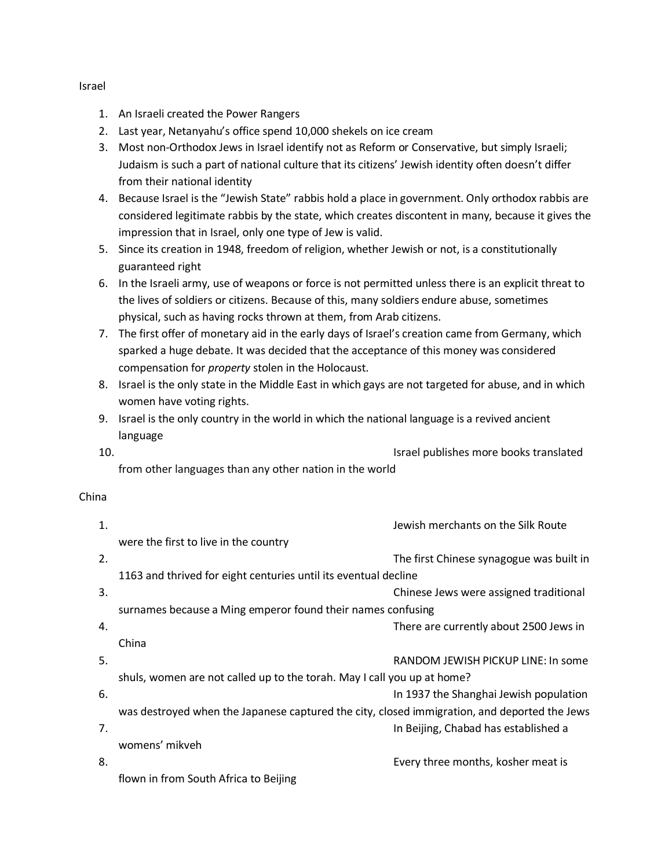- 1. An Israeli created the Power Rangers
- 2. Last year, Netanyahu's office spend 10,000 shekels on ice cream
- 3. Most non-Orthodox Jews in Israel identify not as Reform or Conservative, but simply Israeli; Judaism is such a part of national culture that its citizens' Jewish identity often doesn't differ from their national identity
- 4. Because Israel is the "Jewish State" rabbis hold a place in government. Only orthodox rabbis are considered legitimate rabbis by the state, which creates discontent in many, because it gives the impression that in Israel, only one type of Jew is valid.
- 5. Since its creation in 1948, freedom of religion, whether Jewish or not, is a constitutionally guaranteed right
- 6. In the Israeli army, use of weapons or force is not permitted unless there is an explicit threat to the lives of soldiers or citizens. Because of this, many soldiers endure abuse, sometimes physical, such as having rocks thrown at them, from Arab citizens.
- 7. The first offer of monetary aid in the early days of Israel's creation came from Germany, which sparked a huge debate. It was decided that the acceptance of this money was considered compensation for *property* stolen in the Holocaust.
- 8. Israel is the only state in the Middle East in which gays are not targeted for abuse, and in which women have voting rights.
- 9. Israel is the only country in the world in which the national language is a revived ancient language
- 10. Israel publishes more books translated from other languages than any other nation in the world

# China

| 1. | Jewish merchants on the Silk Route                                                           |
|----|----------------------------------------------------------------------------------------------|
|    | were the first to live in the country                                                        |
| 2. | The first Chinese synagogue was built in                                                     |
|    | 1163 and thrived for eight centuries until its eventual decline                              |
| 3. | Chinese Jews were assigned traditional                                                       |
|    | surnames because a Ming emperor found their names confusing                                  |
| 4. | There are currently about 2500 Jews in                                                       |
|    | China                                                                                        |
| 5. | RANDOM JEWISH PICKUP LINE: In some                                                           |
|    | shuls, women are not called up to the torah. May I call you up at home?                      |
| 6. | In 1937 the Shanghai Jewish population                                                       |
|    | was destroyed when the Japanese captured the city, closed immigration, and deported the Jews |
| 7. | In Beijing, Chabad has established a                                                         |
|    | womens' mikveh                                                                               |
| 8. | Every three months, kosher meat is                                                           |
|    | flown in from South Africa to Beijing                                                        |

### Israel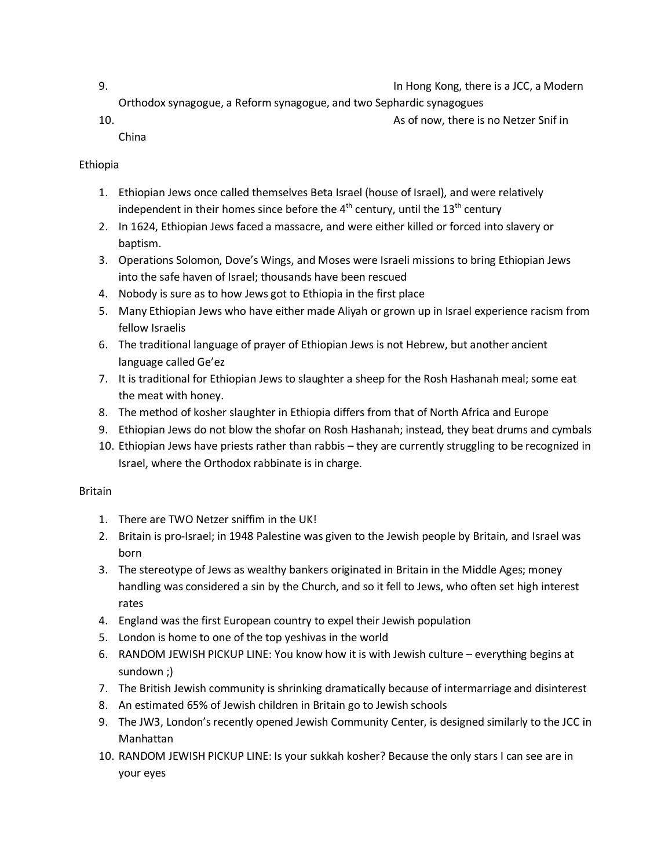- 9. In Hong Kong, there is a JCC, a Modern
	- Orthodox synagogue, a Reform synagogue, and two Sephardic synagogues
- 10. As of now, there is no Netzer Snif in
	- China

# Ethiopia

- 1. Ethiopian Jews once called themselves Beta Israel (house of Israel), and were relatively independent in their homes since before the  $4<sup>th</sup>$  century, until the  $13<sup>th</sup>$  century
- 2. In 1624, Ethiopian Jews faced a massacre, and were either killed or forced into slavery or baptism.
- 3. Operations Solomon, Dove's Wings, and Moses were Israeli missions to bring Ethiopian Jews into the safe haven of Israel; thousands have been rescued
- 4. Nobody is sure as to how Jews got to Ethiopia in the first place
- 5. Many Ethiopian Jews who have either made Aliyah or grown up in Israel experience racism from fellow Israelis
- 6. The traditional language of prayer of Ethiopian Jews is not Hebrew, but another ancient language called Ge'ez
- 7. It is traditional for Ethiopian Jews to slaughter a sheep for the Rosh Hashanah meal; some eat the meat with honey.
- 8. The method of kosher slaughter in Ethiopia differs from that of North Africa and Europe
- 9. Ethiopian Jews do not blow the shofar on Rosh Hashanah; instead, they beat drums and cymbals
- 10. Ethiopian Jews have priests rather than rabbis they are currently struggling to be recognized in Israel, where the Orthodox rabbinate is in charge.

# Britain

- 1. There are TWO Netzer sniffim in the UK!
- 2. Britain is pro-Israel; in 1948 Palestine was given to the Jewish people by Britain, and Israel was born
- 3. The stereotype of Jews as wealthy bankers originated in Britain in the Middle Ages; money handling was considered a sin by the Church, and so it fell to Jews, who often set high interest rates
- 4. England was the first European country to expel their Jewish population
- 5. London is home to one of the top yeshivas in the world
- 6. RANDOM JEWISH PICKUP LINE: You know how it is with Jewish culture everything begins at sundown ;)
- 7. The British Jewish community is shrinking dramatically because of intermarriage and disinterest
- 8. An estimated 65% of Jewish children in Britain go to Jewish schools
- 9. The JW3, London's recently opened Jewish Community Center, is designed similarly to the JCC in Manhattan
- 10. RANDOM JEWISH PICKUP LINE: Is your sukkah kosher? Because the only stars I can see are in your eyes